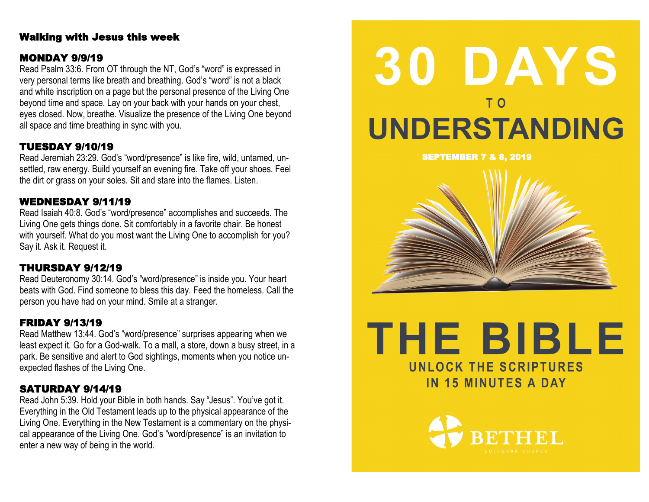### Walking with Jesus this week

### MONDAY 9/9/19

Read Psalm 33:6. From OT through the NT, God's "word" is expressed in very personal terms like breath and breathing. God's "word" is not a black and white inscription on a page but the personal presence of the Living One beyond time and space. Lay on your back with your hands on your chest, eyes closed. Now, breathe. Visualize the presence of the Living One beyond all space and time breathing in sync with you.

# TUESDAY 9/10/19

Read Jeremiah 23:29. God's "word/presence" is like fire, wild, untamed, unsettled, raw energy. Build yourself an evening fire. Take off your shoes. Feel the dirt or grass on your soles. Sit and stare into the flames. Listen.

### WEDNESDAY 9/11/19

Read Isaiah 40:8. God's "word/presence" accomplishes and succeeds. The Living One gets things done. Sit comfortably in a favorite chair. Be honest with yourself. What do you most want the Living One to accomplish for you? Say it. Ask it. Request it.

# THURSDAY 9/12/19

Read Deuteronomy 30:14. God's "word/presence" is inside you. Your heart beats with God. Find someone to bless this day. Feed the homeless. Call the person you have had on your mind. Smile at a stranger.

# FRIDAY 9/13/19

Read Matthew 13:44. God's "word/presence" surprises appearing when we least expect it. Go for a God-walk. To a mall, a store, down a busy street, in a park. Be sensitive and alert to God sightings, moments when you notice unexpected flashes of the Living One.

### SATURDAY 9/14/19

Read John 5:39. Hold your Bible in both hands. Say "Jesus". You've got it. Everything in the Old Testament leads up to the physical appearance of the Living One. Everything in the New Testament is a commentary on the physical appearance of the Living One. God's "word/presence" is an invitation to enter a new way of being in the world.